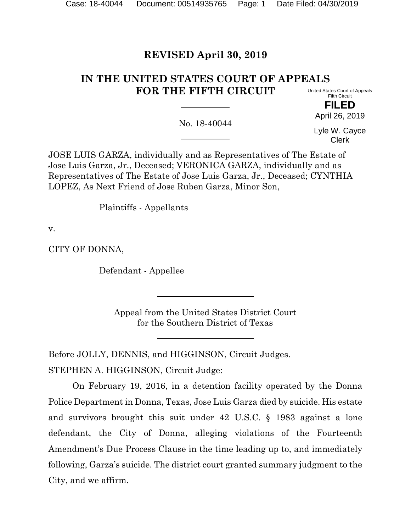# **REVISED April 30, 2019**

#### **IN THE UNITED STATES COURT OF APPEALS FOR THE FIFTH CIRCUIT** United States Court of Appeals

Fifth Circuit **FILED**

April 26, 2019

No. 18-40044

Lyle W. Cayce Clerk

JOSE LUIS GARZA, individually and as Representatives of The Estate of Jose Luis Garza, Jr., Deceased; VERONICA GARZA, individually and as Representatives of The Estate of Jose Luis Garza, Jr., Deceased; CYNTHIA LOPEZ, As Next Friend of Jose Ruben Garza, Minor Son,

Plaintiffs - Appellants

v.

CITY OF DONNA,

Defendant - Appellee

Appeal from the United States District Court for the Southern District of Texas

Before JOLLY, DENNIS, and HIGGINSON, Circuit Judges.

STEPHEN A. HIGGINSON, Circuit Judge:

On February 19, 2016, in a detention facility operated by the Donna Police Department in Donna, Texas, Jose Luis Garza died by suicide. His estate and survivors brought this suit under 42 U.S.C. § 1983 against a lone defendant, the City of Donna, alleging violations of the Fourteenth Amendment's Due Process Clause in the time leading up to, and immediately following, Garza's suicide. The district court granted summary judgment to the City, and we affirm.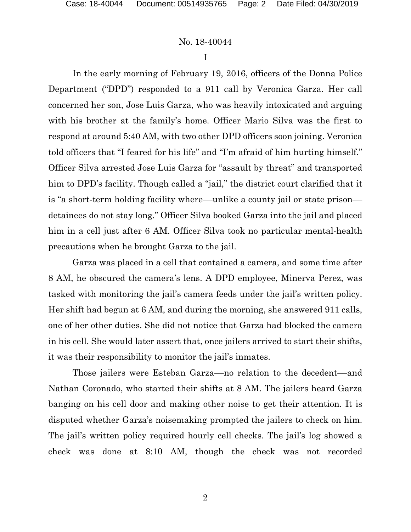I

In the early morning of February 19, 2016, officers of the Donna Police Department ("DPD") responded to a 911 call by Veronica Garza. Her call concerned her son, Jose Luis Garza, who was heavily intoxicated and arguing with his brother at the family's home. Officer Mario Silva was the first to respond at around 5:40 AM, with two other DPD officers soon joining. Veronica told officers that "I feared for his life" and "I'm afraid of him hurting himself." Officer Silva arrested Jose Luis Garza for "assault by threat" and transported him to DPD's facility. Though called a "jail," the district court clarified that it is "a short-term holding facility where—unlike a county jail or state prison detainees do not stay long." Officer Silva booked Garza into the jail and placed him in a cell just after 6 AM. Officer Silva took no particular mental-health precautions when he brought Garza to the jail.

Garza was placed in a cell that contained a camera, and some time after 8 AM, he obscured the camera's lens. A DPD employee, Minerva Perez, was tasked with monitoring the jail's camera feeds under the jail's written policy. Her shift had begun at 6 AM, and during the morning, she answered 911 calls, one of her other duties. She did not notice that Garza had blocked the camera in his cell. She would later assert that, once jailers arrived to start their shifts, it was their responsibility to monitor the jail's inmates.

Those jailers were Esteban Garza—no relation to the decedent—and Nathan Coronado, who started their shifts at 8 AM. The jailers heard Garza banging on his cell door and making other noise to get their attention. It is disputed whether Garza's noisemaking prompted the jailers to check on him. The jail's written policy required hourly cell checks. The jail's log showed a check was done at 8:10 AM, though the check was not recorded

2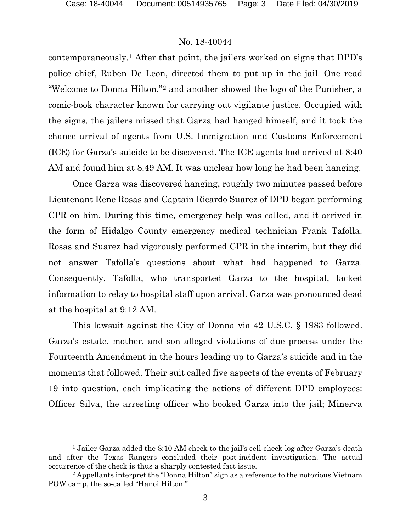l

## No. 18-40044

contemporaneously.[1](#page-2-0) After that point, the jailers worked on signs that DPD's police chief, Ruben De Leon, directed them to put up in the jail. One read "Welcome to Donna Hilton,"[2](#page-2-1) and another showed the logo of the Punisher, a comic-book character known for carrying out vigilante justice. Occupied with the signs, the jailers missed that Garza had hanged himself, and it took the chance arrival of agents from U.S. Immigration and Customs Enforcement (ICE) for Garza's suicide to be discovered. The ICE agents had arrived at 8:40 AM and found him at 8:49 AM. It was unclear how long he had been hanging.

Once Garza was discovered hanging, roughly two minutes passed before Lieutenant Rene Rosas and Captain Ricardo Suarez of DPD began performing CPR on him. During this time, emergency help was called, and it arrived in the form of Hidalgo County emergency medical technician Frank Tafolla. Rosas and Suarez had vigorously performed CPR in the interim, but they did not answer Tafolla's questions about what had happened to Garza. Consequently, Tafolla, who transported Garza to the hospital, lacked information to relay to hospital staff upon arrival. Garza was pronounced dead at the hospital at 9:12 AM.

This lawsuit against the City of Donna via 42 U.S.C. § 1983 followed. Garza's estate, mother, and son alleged violations of due process under the Fourteenth Amendment in the hours leading up to Garza's suicide and in the moments that followed. Their suit called five aspects of the events of February 19 into question, each implicating the actions of different DPD employees: Officer Silva, the arresting officer who booked Garza into the jail; Minerva

<span id="page-2-0"></span><sup>&</sup>lt;sup>1</sup> Jailer Garza added the 8:10 AM check to the jail's cell-check log after Garza's death and after the Texas Rangers concluded their post-incident investigation. The actual occurrence of the check is thus a sharply contested fact issue.

<span id="page-2-1"></span><sup>2</sup> Appellants interpret the "Donna Hilton" sign as a reference to the notorious Vietnam POW camp, the so-called "Hanoi Hilton."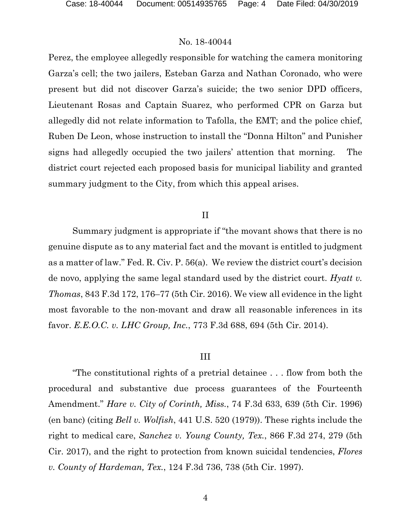Perez, the employee allegedly responsible for watching the camera monitoring Garza's cell; the two jailers, Esteban Garza and Nathan Coronado, who were present but did not discover Garza's suicide; the two senior DPD officers, Lieutenant Rosas and Captain Suarez, who performed CPR on Garza but allegedly did not relate information to Tafolla, the EMT; and the police chief, Ruben De Leon, whose instruction to install the "Donna Hilton" and Punisher signs had allegedly occupied the two jailers' attention that morning. The district court rejected each proposed basis for municipal liability and granted summary judgment to the City, from which this appeal arises.

#### II

Summary judgment is appropriate if "the movant shows that there is no genuine dispute as to any material fact and the movant is entitled to judgment as a matter of law." Fed. R. Civ. P. 56(a). We review the district court's decision de novo, applying the same legal standard used by the district court. *Hyatt v. Thomas*, 843 F.3d 172, 176–77 (5th Cir. 2016). We view all evidence in the light most favorable to the non-movant and draw all reasonable inferences in its favor. *E.E.O.C. v. LHC Group, Inc.*, 773 F.3d 688, 694 (5th Cir. 2014).

#### III

"The constitutional rights of a pretrial detainee . . . flow from both the procedural and substantive due process guarantees of the Fourteenth Amendment." *Hare v. City of Corinth, Miss.*, 74 F.3d 633, 639 (5th Cir. 1996) (en banc) (citing *Bell v. Wolfish*, 441 U.S. 520 (1979)). These rights include the right to medical care, *Sanchez v. Young County, Tex.*, 866 F.3d 274, 279 (5th Cir. 2017), and the right to protection from known suicidal tendencies, *Flores v. County of Hardeman, Tex.*, 124 F.3d 736, 738 (5th Cir. 1997).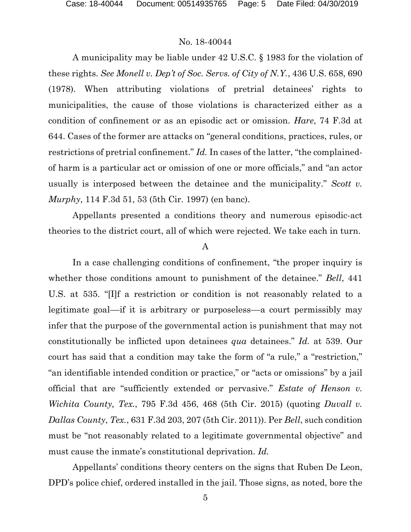A municipality may be liable under 42 U.S.C. § 1983 for the violation of these rights. *See Monell v. Dep't of Soc. Servs. of City of N.Y.*, 436 U.S. 658, 690 (1978). When attributing violations of pretrial detainees' rights to municipalities, the cause of those violations is characterized either as a condition of confinement or as an episodic act or omission. *Hare*, 74 F.3d at 644. Cases of the former are attacks on "general conditions, practices, rules, or restrictions of pretrial confinement." *Id.* In cases of the latter, "the complainedof harm is a particular act or omission of one or more officials," and "an actor usually is interposed between the detainee and the municipality." *Scott v. Murphy*, 114 F.3d 51, 53 (5th Cir. 1997) (en banc).

Appellants presented a conditions theory and numerous episodic-act theories to the district court, all of which were rejected. We take each in turn.

#### A

In a case challenging conditions of confinement, "the proper inquiry is whether those conditions amount to punishment of the detainee." *Bell*, 441 U.S. at 535. "[I]f a restriction or condition is not reasonably related to a legitimate goal––if it is arbitrary or purposeless––a court permissibly may infer that the purpose of the governmental action is punishment that may not constitutionally be inflicted upon detainees *qua* detainees." *Id.* at 539. Our court has said that a condition may take the form of "a rule," a "restriction," "an identifiable intended condition or practice," or "acts or omissions" by a jail official that are "sufficiently extended or pervasive." *Estate of Henson v. Wichita County, Tex.*, 795 F.3d 456, 468 (5th Cir. 2015) (quoting *Duvall v. Dallas County*, *Tex.*, 631 F.3d 203, 207 (5th Cir. 2011)). Per *Bell*, such condition must be "not reasonably related to a legitimate governmental objective" and must cause the inmate's constitutional deprivation. *Id.*

Appellants' conditions theory centers on the signs that Ruben De Leon, DPD's police chief, ordered installed in the jail. Those signs, as noted, bore the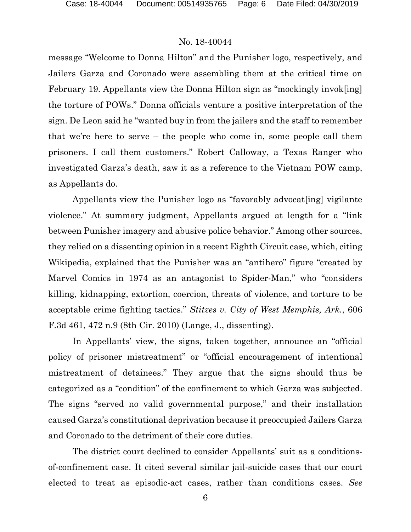message "Welcome to Donna Hilton" and the Punisher logo, respectively, and Jailers Garza and Coronado were assembling them at the critical time on February 19. Appellants view the Donna Hilton sign as "mockingly invok[ing] the torture of POWs." Donna officials venture a positive interpretation of the sign. De Leon said he "wanted buy in from the jailers and the staff to remember that we're here to serve – the people who come in, some people call them prisoners. I call them customers." Robert Calloway, a Texas Ranger who investigated Garza's death, saw it as a reference to the Vietnam POW camp, as Appellants do.

Appellants view the Punisher logo as "favorably advocat[ing] vigilante violence." At summary judgment, Appellants argued at length for a "link between Punisher imagery and abusive police behavior." Among other sources, they relied on a dissenting opinion in a recent Eighth Circuit case, which, citing Wikipedia, explained that the Punisher was an "antihero" figure "created by Marvel Comics in 1974 as an antagonist to Spider-Man," who "considers killing, kidnapping, extortion, coercion, threats of violence, and torture to be acceptable crime fighting tactics." *Stitzes v. City of West Memphis, Ark.*, 606 F.3d 461, 472 n.9 (8th Cir. 2010) (Lange, J., dissenting).

In Appellants' view, the signs, taken together, announce an "official policy of prisoner mistreatment" or "official encouragement of intentional mistreatment of detainees." They argue that the signs should thus be categorized as a "condition" of the confinement to which Garza was subjected. The signs "served no valid governmental purpose," and their installation caused Garza's constitutional deprivation because it preoccupied Jailers Garza and Coronado to the detriment of their core duties.

The district court declined to consider Appellants' suit as a conditionsof-confinement case. It cited several similar jail-suicide cases that our court elected to treat as episodic-act cases, rather than conditions cases. *See*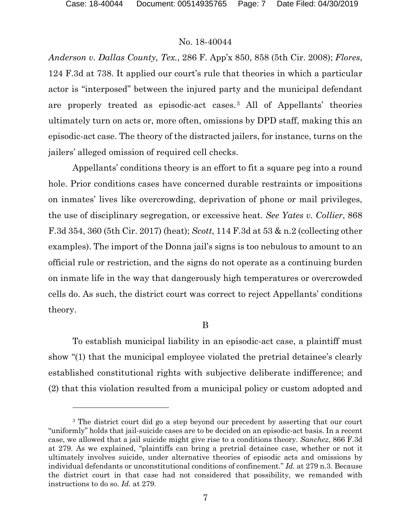### No. 18-40044

*Anderson v. Dallas County, Tex.*, 286 F. App'x 850, 858 (5th Cir. 2008); *Flores*, 124 F.3d at 738. It applied our court's rule that theories in which a particular actor is "interposed" between the injured party and the municipal defendant are properly treated as episodic-act cases.[3](#page-6-0) All of Appellants' theories ultimately turn on acts or, more often, omissions by DPD staff, making this an episodic-act case. The theory of the distracted jailers, for instance, turns on the jailers' alleged omission of required cell checks.

Appellants' conditions theory is an effort to fit a square peg into a round hole. Prior conditions cases have concerned durable restraints or impositions on inmates' lives like overcrowding, deprivation of phone or mail privileges, the use of disciplinary segregation, or excessive heat. *See Yates v. Collier*, 868 F.3d 354, 360 (5th Cir. 2017) (heat); *Scott*, 114 F.3d at 53 & n.2 (collecting other examples). The import of the Donna jail's signs is too nebulous to amount to an official rule or restriction, and the signs do not operate as a continuing burden on inmate life in the way that dangerously high temperatures or overcrowded cells do. As such, the district court was correct to reject Appellants' conditions theory.

#### B

To establish municipal liability in an episodic-act case, a plaintiff must show "(1) that the municipal employee violated the pretrial detainee's clearly established constitutional rights with subjective deliberate indifference; and (2) that this violation resulted from a municipal policy or custom adopted and

<span id="page-6-0"></span><sup>&</sup>lt;sup>3</sup> The district court did go a step beyond our precedent by asserting that our court "uniformly" holds that jail-suicide cases are to be decided on an episodic-act basis. In a recent case, we allowed that a jail suicide might give rise to a conditions theory. *Sanchez*, 866 F.3d at 279. As we explained, "plaintiffs can bring a pretrial detainee case, whether or not it ultimately involves suicide, under alternative theories of episodic acts and omissions by individual defendants or unconstitutional conditions of confinement." *Id.* at 279 n.3. Because the district court in that case had not considered that possibility, we remanded with instructions to do so. *Id.* at 279.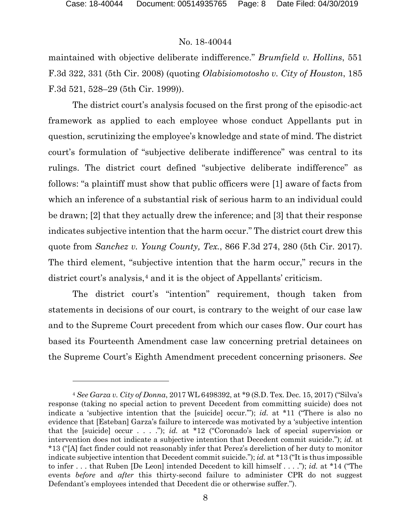#### No. 18-40044

maintained with objective deliberate indifference." *Brumfield v. Hollins*, 551 F.3d 322, 331 (5th Cir. 2008) (quoting *Olabisiomotosho v. City of Houston*, 185 F.3d 521, 528–29 (5th Cir. 1999)).

The district court's analysis focused on the first prong of the episodic-act framework as applied to each employee whose conduct Appellants put in question, scrutinizing the employee's knowledge and state of mind. The district court's formulation of "subjective deliberate indifference" was central to its rulings. The district court defined "subjective deliberate indifference" as follows: "a plaintiff must show that public officers were [1] aware of facts from which an inference of a substantial risk of serious harm to an individual could be drawn; [2] that they actually drew the inference; and [3] that their response indicates subjective intention that the harm occur." The district court drew this quote from *Sanchez v. Young County, Tex.*, 866 F.3d 274, 280 (5th Cir. 2017). The third element, "subjective intention that the harm occur," recurs in the district court's analysis,<sup>[4](#page-7-0)</sup> and it is the object of Appellants' criticism.

The district court's "intention" requirement, though taken from statements in decisions of our court, is contrary to the weight of our case law and to the Supreme Court precedent from which our cases flow. Our court has based its Fourteenth Amendment case law concerning pretrial detainees on the Supreme Court's Eighth Amendment precedent concerning prisoners. *See* 

<span id="page-7-0"></span><sup>4</sup> *See Garza v. City of Donna*, 2017 WL 6498392, at \*9 (S.D. Tex. Dec. 15, 2017) ("Silva's response (taking no special action to prevent Decedent from committing suicide) does not indicate a 'subjective intention that the [suicide] occur.'"); *id.* at \*11 ("There is also no evidence that [Esteban] Garza's failure to intercede was motivated by a 'subjective intention that the [suicide] occur . . . ."); *id.* at \*12 ("Coronado's lack of special supervision or intervention does not indicate a subjective intention that Decedent commit suicide."); *id.* at \*13 ("[A] fact finder could not reasonably infer that Perez's dereliction of her duty to monitor indicate subjective intention that Decedent commit suicide."); *id.* at \*13 ("It is thus impossible to infer . . . that Ruben [De Leon] intended Decedent to kill himself . . . ."); *id.* at \*14 ("The events *before* and *after* this thirty-second failure to administer CPR do not suggest Defendant's employees intended that Decedent die or otherwise suffer.").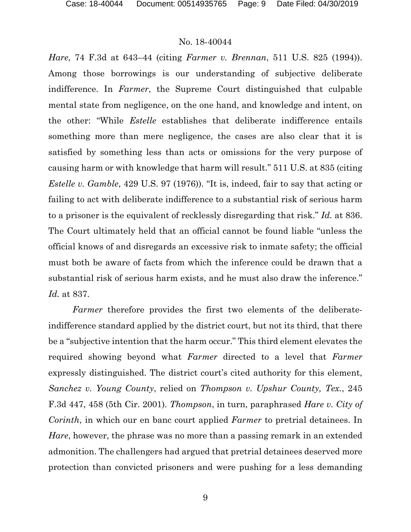*Hare*, 74 F.3d at 643–44 (citing *Farmer v. Brennan*, 511 U.S. 825 (1994)). Among those borrowings is our understanding of subjective deliberate indifference. In *Farmer*, the Supreme Court distinguished that culpable mental state from negligence, on the one hand, and knowledge and intent, on the other: "While *Estelle* establishes that deliberate indifference entails something more than mere negligence, the cases are also clear that it is satisfied by something less than acts or omissions for the very purpose of causing harm or with knowledge that harm will result." 511 U.S. at 835 (citing *Estelle v. Gamble*, 429 U.S. 97 (1976)). "It is, indeed, fair to say that acting or failing to act with deliberate indifference to a substantial risk of serious harm to a prisoner is the equivalent of recklessly disregarding that risk." *Id.* at 836. The Court ultimately held that an official cannot be found liable "unless the official knows of and disregards an excessive risk to inmate safety; the official must both be aware of facts from which the inference could be drawn that a substantial risk of serious harm exists, and he must also draw the inference." *Id.* at 837.

*Farmer* therefore provides the first two elements of the deliberateindifference standard applied by the district court, but not its third, that there be a "subjective intention that the harm occur." This third element elevates the required showing beyond what *Farmer* directed to a level that *Farmer*  expressly distinguished. The district court's cited authority for this element, *Sanchez v. Young County*, relied on *Thompson v. Upshur County, Tex.*, 245 F.3d 447, 458 (5th Cir. 2001). *Thompson*, in turn, paraphrased *Hare v. City of Corinth*, in which our en banc court applied *Farmer* to pretrial detainees. In *Hare*, however, the phrase was no more than a passing remark in an extended admonition. The challengers had argued that pretrial detainees deserved more protection than convicted prisoners and were pushing for a less demanding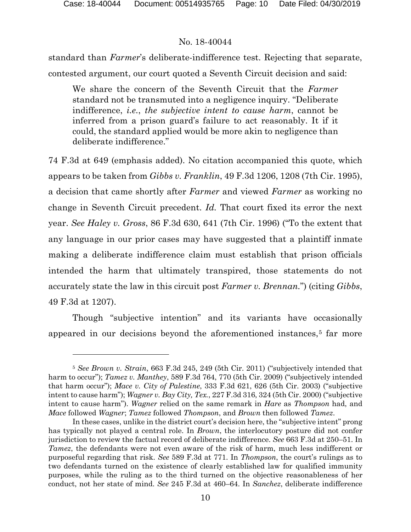### No. 18-40044

standard than *Farmer*'s deliberate-indifference test. Rejecting that separate, contested argument, our court quoted a Seventh Circuit decision and said:

We share the concern of the Seventh Circuit that the *Farmer*  standard not be transmuted into a negligence inquiry. "Deliberate indifference, *i.e.*, *the subjective intent to cause harm*, cannot be inferred from a prison guard's failure to act reasonably. It if it could, the standard applied would be more akin to negligence than deliberate indifference."

74 F.3d at 649 (emphasis added). No citation accompanied this quote, which appears to be taken from *Gibbs v. Franklin*, 49 F.3d 1206, 1208 (7th Cir. 1995), a decision that came shortly after *Farmer* and viewed *Farmer* as working no change in Seventh Circuit precedent. *Id.* That court fixed its error the next year. *See Haley v. Gross*, 86 F.3d 630, 641 (7th Cir. 1996) ("To the extent that any language in our prior cases may have suggested that a plaintiff inmate making a deliberate indifference claim must establish that prison officials intended the harm that ultimately transpired, those statements do not accurately state the law in this circuit post *Farmer v. Brennan.*") (citing *Gibbs*, 49 F.3d at 1207).

Though "subjective intention" and its variants have occasionally appeared in our decisions beyond the aforementioned instances,<sup>[5](#page-9-0)</sup> far more

<span id="page-9-0"></span><sup>5</sup> *See Brown v. Strain*, 663 F.3d 245, 249 (5th Cir. 2011) ("subjectively intended that harm to occur"); *Tamez v. Manthey*, 589 F.3d 764, 770 (5th Cir. 2009) ("subjectively intended that harm occur"); *Mace v. City of Palestine*, 333 F.3d 621, 626 (5th Cir. 2003) ("subjective intent to cause harm"); *Wagner v. Bay City, Tex.*, 227 F.3d 316, 324 (5th Cir. 2000) ("subjective intent to cause harm"). *Wagner* relied on the same remark in *Hare* as *Thompson* had, and *Mace* followed *Wagner*; *Tamez* followed *Thompson*, and *Brown* then followed *Tamez*.

In these cases, unlike in the district court's decision here, the "subjective intent" prong has typically not played a central role. In *Brown*, the interlocutory posture did not confer jurisdiction to review the factual record of deliberate indifference. *See* 663 F.3d at 250–51. In *Tamez*, the defendants were not even aware of the risk of harm, much less indifferent or purposeful regarding that risk. *See* 589 F.3d at 771. In *Thompson*, the court's rulings as to two defendants turned on the existence of clearly established law for qualified immunity purposes, while the ruling as to the third turned on the objective reasonableness of her conduct, not her state of mind. *See* 245 F.3d at 460–64. In *Sanchez*, deliberate indifference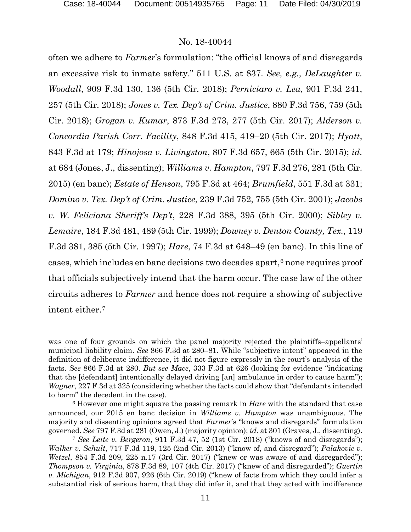#### No. 18-40044

often we adhere to *Farmer*'s formulation: "the official knows of and disregards an excessive risk to inmate safety." 511 U.S. at 837. *See, e.g.*, *DeLaughter v. Woodall*, 909 F.3d 130, 136 (5th Cir. 2018); *Perniciaro v. Lea*, 901 F.3d 241, 257 (5th Cir. 2018); *Jones v. Tex. Dep't of Crim. Justice*, 880 F.3d 756, 759 (5th Cir. 2018); *Grogan v. Kumar*, 873 F.3d 273, 277 (5th Cir. 2017); *Alderson v. Concordia Parish Corr. Facility*, 848 F.3d 415, 419–20 (5th Cir. 2017); *Hyatt*, 843 F.3d at 179; *Hinojosa v. Livingston*, 807 F.3d 657, 665 (5th Cir. 2015); *id.*  at 684 (Jones, J., dissenting); *Williams v. Hampton*, 797 F.3d 276, 281 (5th Cir. 2015) (en banc); *Estate of Henson*, 795 F.3d at 464; *Brumfield*, 551 F.3d at 331; *Domino v. Tex. Dep't of Crim. Justice*, 239 F.3d 752, 755 (5th Cir. 2001); *Jacobs v. W. Feliciana Sheriff's Dep't*, 228 F.3d 388, 395 (5th Cir. 2000); *Sibley v. Lemaire*, 184 F.3d 481, 489 (5th Cir. 1999); *Downey v. Denton County, Tex.*, 119 F.3d 381, 385 (5th Cir. 1997); *Hare*, 74 F.3d at 648–49 (en banc). In this line of cases, which includes en banc decisions two decades apart, $6$  none requires proof that officials subjectively intend that the harm occur. The case law of the other circuits adheres to *Farmer* and hence does not require a showing of subjective intent either.[7](#page-10-1)

was one of four grounds on which the panel majority rejected the plaintiffs–appellants' municipal liability claim. *See* 866 F.3d at 280–81. While "subjective intent" appeared in the definition of deliberate indifference, it did not figure expressly in the court's analysis of the facts. *See* 866 F.3d at 280. *But see Mace*, 333 F.3d at 626 (looking for evidence "indicating that the [defendant] intentionally delayed driving [an] ambulance in order to cause harm"); *Wagner*, 227 F.3d at 325 (considering whether the facts could show that "defendants intended to harm" the decedent in the case).

<span id="page-10-0"></span><sup>6</sup> However one might square the passing remark in *Hare* with the standard that case announced, our 2015 en banc decision in *Williams v. Hampton* was unambiguous. The majority and dissenting opinions agreed that *Farmer*'s "knows and disregards" formulation governed. *See* 797 F.3d at 281 (Owen, J.) (majority opinion); *id.* at 301 (Graves, J., dissenting).

<span id="page-10-1"></span><sup>7</sup> *See Leite v. Bergeron*, 911 F.3d 47, 52 (1st Cir. 2018) ("knows of and disregards"); *Walker v. Schult*, 717 F.3d 119, 125 (2nd Cir. 2013) ("know of, and disregard"); *Palakovic v. Wetzel*, 854 F.3d 209, 225 n.17 (3rd Cir. 2017) ("knew or was aware of and disregarded"); *Thompson v. Virginia*, 878 F.3d 89, 107 (4th Cir. 2017) ("knew of and disregarded"); *Guertin v. Michigan*, 912 F.3d 907, 926 (6th Cir. 2019) ("knew of facts from which they could infer a substantial risk of serious harm, that they did infer it, and that they acted with indifference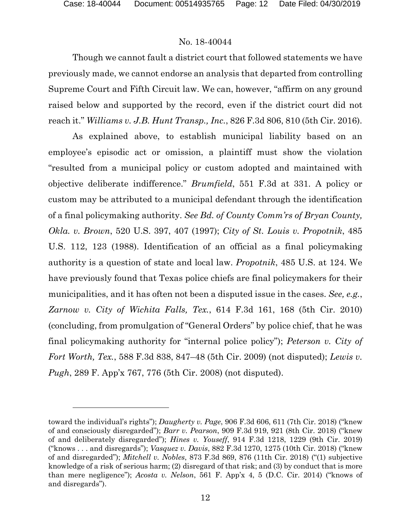l

### No. 18-40044

Though we cannot fault a district court that followed statements we have previously made, we cannot endorse an analysis that departed from controlling Supreme Court and Fifth Circuit law. We can, however, "affirm on any ground raised below and supported by the record, even if the district court did not reach it." *Williams v. J.B. Hunt Transp., Inc.*, 826 F.3d 806, 810 (5th Cir. 2016).

As explained above, to establish municipal liability based on an employee's episodic act or omission, a plaintiff must show the violation "resulted from a municipal policy or custom adopted and maintained with objective deliberate indifference." *Brumfield*, 551 F.3d at 331. A policy or custom may be attributed to a municipal defendant through the identification of a final policymaking authority. *See Bd. of County Comm'rs of Bryan County, Okla. v. Brown*, 520 U.S. 397, 407 (1997); *City of St. Louis v. Propotnik*, 485 U.S. 112, 123 (1988). Identification of an official as a final policymaking authority is a question of state and local law. *Propotnik*, 485 U.S. at 124. We have previously found that Texas police chiefs are final policymakers for their municipalities, and it has often not been a disputed issue in the cases. *See, e.g.*, *Zarnow v. City of Wichita Falls, Tex.*, 614 F.3d 161, 168 (5th Cir. 2010) (concluding, from promulgation of "General Orders" by police chief, that he was final policymaking authority for "internal police policy"); *Peterson v. City of Fort Worth, Tex.*, 588 F.3d 838, 847–48 (5th Cir. 2009) (not disputed); *Lewis v. Pugh*, 289 F. App'x 767, 776 (5th Cir. 2008) (not disputed).

toward the individual's rights"); *Daugherty v. Page*, 906 F.3d 606, 611 (7th Cir. 2018) ("knew of and consciously disregarded"); *Barr v. Pearson*, 909 F.3d 919, 921 (8th Cir. 2018) ("knew of and deliberately disregarded"); *Hines v. Youseff*, 914 F.3d 1218, 1229 (9th Cir. 2019) ("knows . . . and disregards"); *Vasquez v. Davis*, 882 F.3d 1270, 1275 (10th Cir. 2018) ("knew of and disregarded"); *Mitchell v. Nobles*, 873 F.3d 869, 876 (11th Cir. 2018) ("(1) subjective knowledge of a risk of serious harm; (2) disregard of that risk; and (3) by conduct that is more than mere negligence"); *Acosta v. Nelson*, 561 F. App'x 4, 5 (D.C. Cir. 2014) ("knows of and disregards").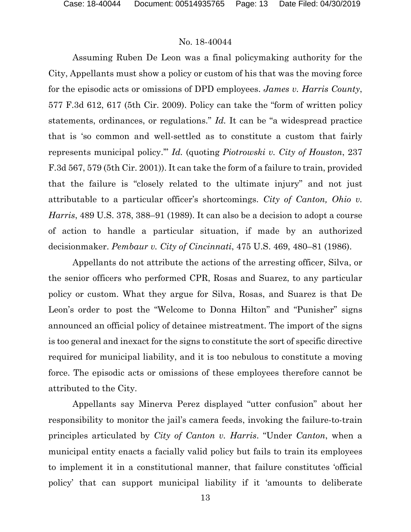Assuming Ruben De Leon was a final policymaking authority for the City, Appellants must show a policy or custom of his that was the moving force for the episodic acts or omissions of DPD employees. *James v. Harris County*, 577 F.3d 612, 617 (5th Cir. 2009). Policy can take the "form of written policy statements, ordinances, or regulations." *Id.* It can be "a widespread practice that is 'so common and well-settled as to constitute a custom that fairly represents municipal policy.'" *Id.* (quoting *Piotrowski v. City of Houston*, 237 F.3d 567, 579 (5th Cir. 2001)). It can take the form of a failure to train, provided that the failure is "closely related to the ultimate injury" and not just attributable to a particular officer's shortcomings. *City of Canton, Ohio v. Harris*, 489 U.S. 378, 388–91 (1989). It can also be a decision to adopt a course of action to handle a particular situation, if made by an authorized decisionmaker. *Pembaur v. City of Cincinnati*, 475 U.S. 469, 480–81 (1986).

Appellants do not attribute the actions of the arresting officer, Silva, or the senior officers who performed CPR, Rosas and Suarez, to any particular policy or custom. What they argue for Silva, Rosas, and Suarez is that De Leon's order to post the "Welcome to Donna Hilton" and "Punisher" signs announced an official policy of detainee mistreatment. The import of the signs is too general and inexact for the signs to constitute the sort of specific directive required for municipal liability, and it is too nebulous to constitute a moving force. The episodic acts or omissions of these employees therefore cannot be attributed to the City.

Appellants say Minerva Perez displayed "utter confusion" about her responsibility to monitor the jail's camera feeds, invoking the failure-to-train principles articulated by *City of Canton v. Harris*. "Under *Canton*, when a municipal entity enacts a facially valid policy but fails to train its employees to implement it in a constitutional manner, that failure constitutes 'official policy' that can support municipal liability if it 'amounts to deliberate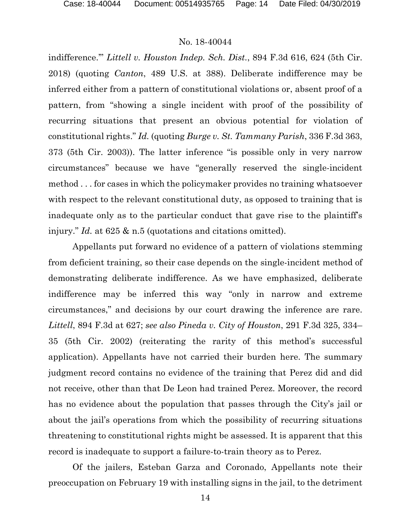indifference.'" *Littell v. Houston Indep. Sch. Dist.*, 894 F.3d 616, 624 (5th Cir. 2018) (quoting *Canton*, 489 U.S. at 388). Deliberate indifference may be inferred either from a pattern of constitutional violations or, absent proof of a pattern, from "showing a single incident with proof of the possibility of recurring situations that present an obvious potential for violation of constitutional rights." *Id.* (quoting *Burge v. St. Tammany Parish*, 336 F.3d 363, 373 (5th Cir. 2003)). The latter inference "is possible only in very narrow circumstances" because we have "generally reserved the single-incident method . . . for cases in which the policymaker provides no training whatsoever with respect to the relevant constitutional duty, as opposed to training that is inadequate only as to the particular conduct that gave rise to the plaintiff's injury." *Id.* at 625 & n.5 (quotations and citations omitted).

Appellants put forward no evidence of a pattern of violations stemming from deficient training, so their case depends on the single-incident method of demonstrating deliberate indifference. As we have emphasized, deliberate indifference may be inferred this way "only in narrow and extreme circumstances," and decisions by our court drawing the inference are rare. *Littell*, 894 F.3d at 627; *see also Pineda v. City of Houston*, 291 F.3d 325, 334– 35 (5th Cir. 2002) (reiterating the rarity of this method's successful application). Appellants have not carried their burden here. The summary judgment record contains no evidence of the training that Perez did and did not receive, other than that De Leon had trained Perez. Moreover, the record has no evidence about the population that passes through the City's jail or about the jail's operations from which the possibility of recurring situations threatening to constitutional rights might be assessed. It is apparent that this record is inadequate to support a failure-to-train theory as to Perez.

Of the jailers, Esteban Garza and Coronado, Appellants note their preoccupation on February 19 with installing signs in the jail, to the detriment